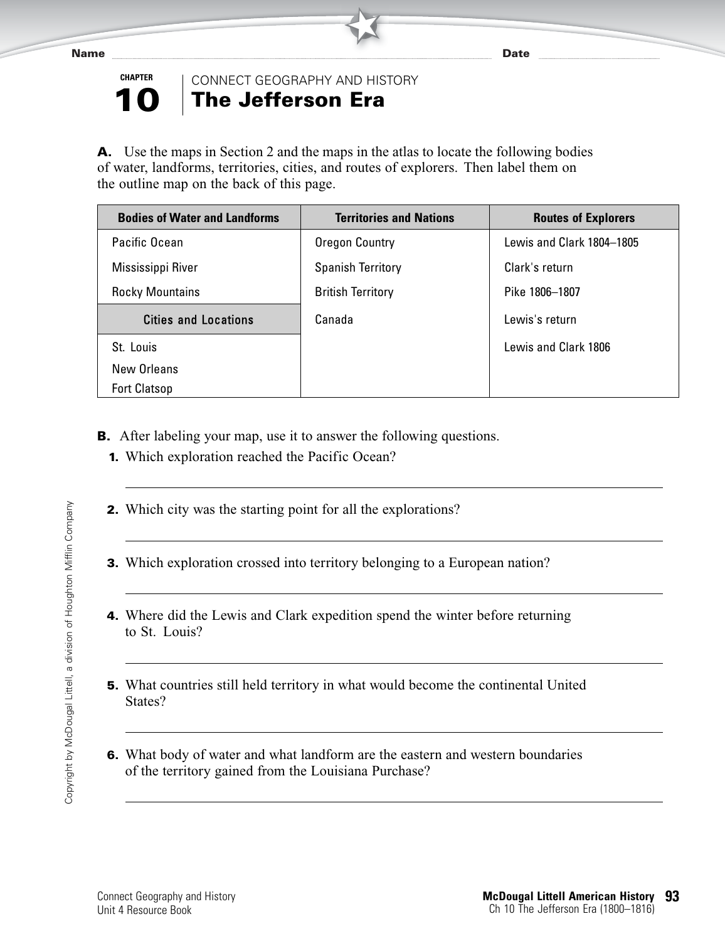



★ CONNECT GEOGRAPHY AND HISTORY

## **The Jefferson Era**

**A.** Use the maps in Section 2 and the maps in the atlas to locate the following bodies of water, landforms, territories, cities, and routes of explorers. Then label them on the outline map on the back of this page.

★

| <b>Bodies of Water and Landforms</b> | <b>Territories and Nations</b> | <b>Routes of Explorers</b> |
|--------------------------------------|--------------------------------|----------------------------|
| Pacific Ocean                        | Oregon Country                 | Lewis and Clark 1804-1805  |
| Mississippi River                    | <b>Spanish Territory</b>       | Clark's return             |
| <b>Rocky Mountains</b>               | <b>British Territory</b>       | Pike 1806-1807             |
| <b>Cities and Locations</b>          | Canada                         | Lewis's return             |
| St. Louis                            |                                | Lewis and Clark 1806       |
| New Orleans                          |                                |                            |
| <b>Fort Clatsop</b>                  |                                |                            |

- **B.** After labeling your map, use it to answer the following questions.
	- **1.** Which exploration reached the Pacific Ocean?
	- **2.** Which city was the starting point for all the explorations?
	- **3.** Which exploration crossed into territory belonging to a European nation?
	- **4.** Where did the Lewis and Clark expedition spend the winter before returning to St. Louis?
	- **5.** What countries still held territory in what would become the continental United States?
	- **6.** What body of water and what landform are the eastern and western boundaries of the territory gained from the Louisiana Purchase?